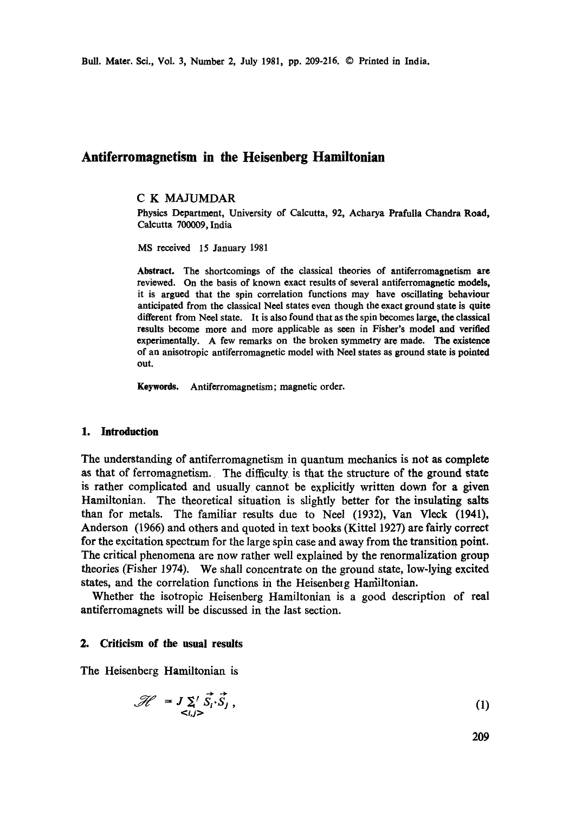# **Antiferromagnetism in the Heisenberg Hamiltonian**

### C K MAJUMDAR

Physics Department, University of Calcutta, 92, Acharya Prafulla Chandra Road, Calcutta 700009, India

MS received 15 January 1981

**Abstract.** The shortcomings of the classical theories of antiferromagnetism are reviewed. On the basis of known exact results of several antiferromagnetic models, it is argued that the spin correlation functions may have oscillating behaviour anticipated from the classical Neel states even though the exact ground state **is quite**  different from Neel state. It is also found that as the spin becomes large, the classical results become more and more applicable as seen in Fisher's model and verified experimentally. A few remarks on the broken symmetry are made. The existence of an anisotropic antiferromagnetic model with Neel states as ground state is pointed **out.** 

**Keywords.** Antiferromagnetism; magnetic order.

#### **1. Introduction**

The understanding of antiferromagnetism in quantum mechanics is not as complete as that of ferromagnetism. The difficulty is that the structure of the ground state is rather complicated and usually cannot be explicitly written down for a given Hamiltonian. The theoretical situation is slightly better for the insulating salts than for metals. The familiar results due to Neel 0932), Van Vleck (1941), Anderson (1966) and others and quoted in text books (Kittel 1927) are fairly correct for the excitation spectrum for the large spin case and away from the transition point. The critical phenomena are now rather well explained by the renormalization group theories (Fisher 1974). We shall concentrate on the ground state, low-lying excited states, and the correlation functions in the Heisenberg Hamiltonian.

Whether the isotropic Heisenberg Hamiltonian is a good description of real antiferromagnets will be discussed in the last section.

### **2. Criticism of the usual results**

The Heisenberg Hamiltonian is

$$
\mathcal{H} = J \sum_{\langle i,j \rangle} \vec{S}_i \cdot \vec{S}_j, \qquad (1)
$$

209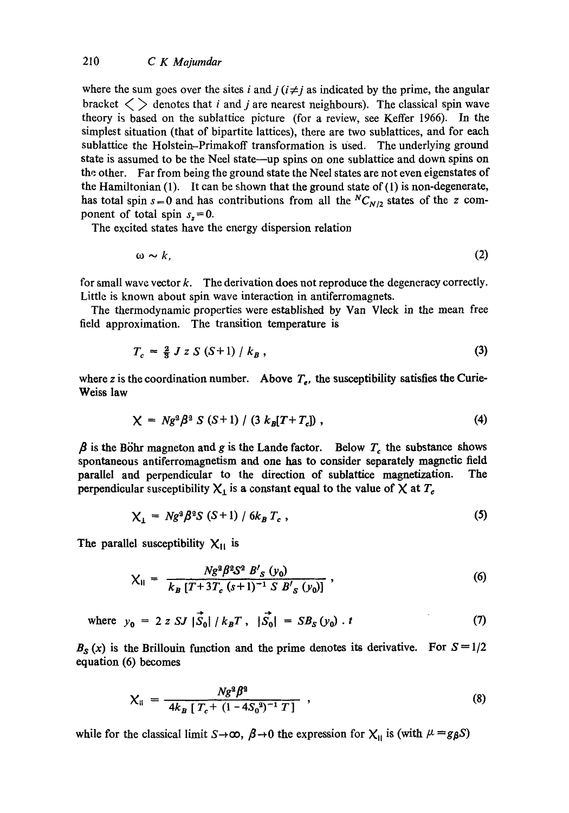# 210 *C K Majumdar*

where the sum goes over the sites i and  $j$  ( $i \neq j$  as indicated by the prime, the angular bracket  $\langle \rangle$  denotes that *i* and *j* are nearest neighbours). The classical spin wave theory is based on the sublattice picture (for a review, see Keffer 1966). In the simplest situation (that of bipartite lattices), there are two sublattices, and for each sublattice the Holstein-Primakoff transformation is used. The underlying ground state is assumed to be the Neel state—up spins on one sublattice and down spins on the other. Far from being the ground state the Neel states are not even eigenstates of the Hamiltonian  $(1)$ . It can be shown that the ground state of  $(1)$  is non-degenerate, has total spin  $s = 0$  and has contributions from all the  ${}^N C_{N/2}$  states of the z component of total spin  $s<sub>z</sub>=0$ .

The excited states have the energy dispersion relation

$$
\omega \sim k,\tag{2}
$$

for small wave vector  $k$ . The derivation does not reproduce the degeneracy correctly. Little is known about spin wave interaction in antiferromagnets.

The thermodynamic properties were established by Van Vleck in the mean free field approximation. The transition temperature is

$$
T_c = \frac{2}{3} J z S (S+1) / k_B , \qquad (3)
$$

where z is the coordination number. Above  $T_e$ , the susceptibility satisfies the Curie-Weiss law

$$
\chi = Ng^2 \beta^2 S (S+1) / (3 k_B [T+T_c]) , \qquad (4)
$$

 $\beta$  is the Böhr magneton and g is the Lande factor. Below  $T_c$  the substance shows spontaneous antiferromagnetism and one has to consider separately magnetic field parallel and perpendicular to the direction of sublattice magnetization. The perpendicular susceptibility  $X_1$  is a constant equal to the value of  $X$  at  $T_c$ 

$$
\chi_{\perp} = Ng^2 \beta^2 S \left( S + 1 \right) / 6k_B T_c , \qquad (5)
$$

The parallel susceptibility  $X_{11}$  is

$$
\chi_{\parallel} = \frac{N g^2 \beta^2 S^2 B'_S (y_0)}{k_B [T + 3T_c (s+1)^{-1} S B'_S (y_0)]}, \qquad (6)
$$

where 
$$
y_0 = 2 z S J |\vec{S}_0| / k_B T
$$
,  $|\vec{S}_0| = S B_S (y_0) \cdot t$  (7)

 $B<sub>S</sub>(x)$  is the Brillouin function and the prime denotes its derivative. For  $S=1/2$ equation (6) becomes

$$
\chi_{\parallel} = \frac{N g^2 \beta^2}{4k_B \left[ T_c + \left( 1 - 4S_0^2 \right)^{-1} T \right]} \tag{8}
$$

while for the classical limit  $S\rightarrow\infty$ ,  $\beta\rightarrow 0$  the expression for  $X_{\parallel}$  is (with  $\mu = g\beta S$ )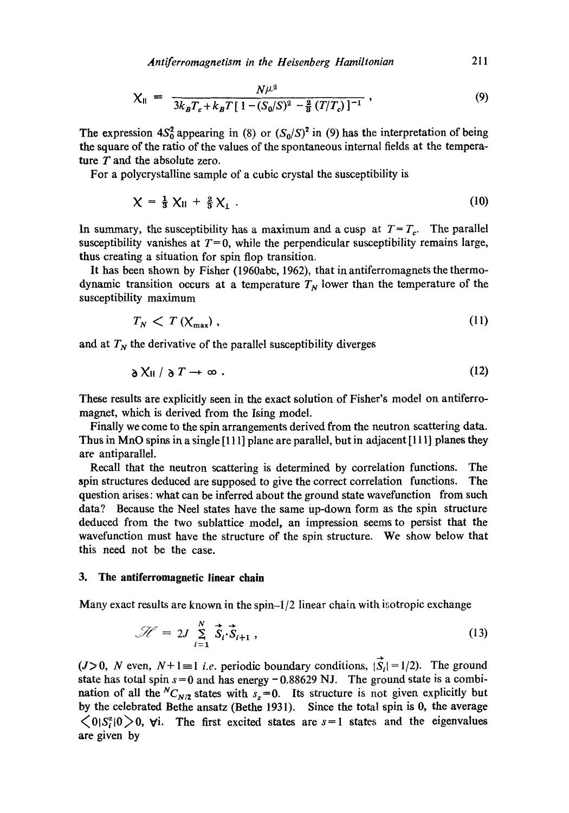*Anti ferromagnetism in the Heisenberg Hamiltonian* 211

$$
\chi_{\parallel} = \frac{N\mu^2}{3k_B T_c + k_B T [1 - (S_0/S)^2 - \frac{2}{9}(T/T_c)]^{-1}},
$$
\n(9)

The expression  $4S_0^2$  appearing in (8) or  $(S_0/S)^2$  in (9) has the interpretation of being the square of the ratio of the values of the spontaneous internal fields at the temperature  $T$  and the absolute zero.

For a polyerystalline sample of a cubic crystal the susceptibility is

$$
\chi = \frac{1}{3} \chi_{\parallel} + \frac{2}{3} \chi_{\perp} \ . \tag{10}
$$

In summary, the susceptibility has a maximum and a cusp at  $T = T_c$ . The parallel susceptibility vanishes at  $T=0$ , while the perpendicular susceptibility remains large, thus creating a situation for spin flop transition.

It has been shown by Fisher (1960abc, 1962), that in antiferromagnets the thermodynamic transition occurs at a temperature  $T<sub>N</sub>$  lower than the temperature of the susceptibility maximum

$$
T_N < T\left(\chi_{\text{max}}\right),\tag{11}
$$

and at  $T_N$  the derivative of the parallel susceptibility diverges

$$
\partial X_{\text{II}} / \partial T \to \infty \tag{12}
$$

These results are explicitly seen in the exact solution of Fisher's model on antiferromagnet, which is derived from the Ising model.

Finally we come to the spin arrangements derived from the neutron scattering data. Thus in MnO spins in a single [111] plane are parallel, but in adjacent [111] planes they are antiparallel.

Recall that the neutron scattering is determined by correlation functions. The spin structures deduced are supposed to give the correct correlation functions. The question arises: what can be inferred about the ground state wavefunction from such data? Because the Neel states have the same up-down form as the spin structure deduced from the two sublattice model, an impression seems to persist that the wavefunction must have the structure of the spin structure. We show below that this need not be the case.

#### **3. The antiferromagnetic linear chain**

Many exact results are known in the spin-l/2 linear chain with isotropic exchange

$$
\mathcal{H} = 2J \sum_{i=1}^{N} \vec{S}_i \cdot \vec{S}_{i+1} , \qquad (13)
$$

( $J>0$ , N even,  $N+1 \equiv 1$  *i.e.* periodic boundary conditions,  $|\vec{S}_i| = 1/2$ ). The ground state has total spin  $s=0$  and has energy -0.88629 NJ. The ground state is a combination of all the  ${}^NC_{N/2}$  states with  $s_z=0$ . Its structure is not given explicitly but by the celebrated Bethe ansatz (Bethe 1931). Since the total spin is 0, the average  $\langle 0|S_i^2|0\rangle$   $\langle 0|$ ,  $\forall$ i. The first excited states are  $s=1$  states and the eigenvalues are given by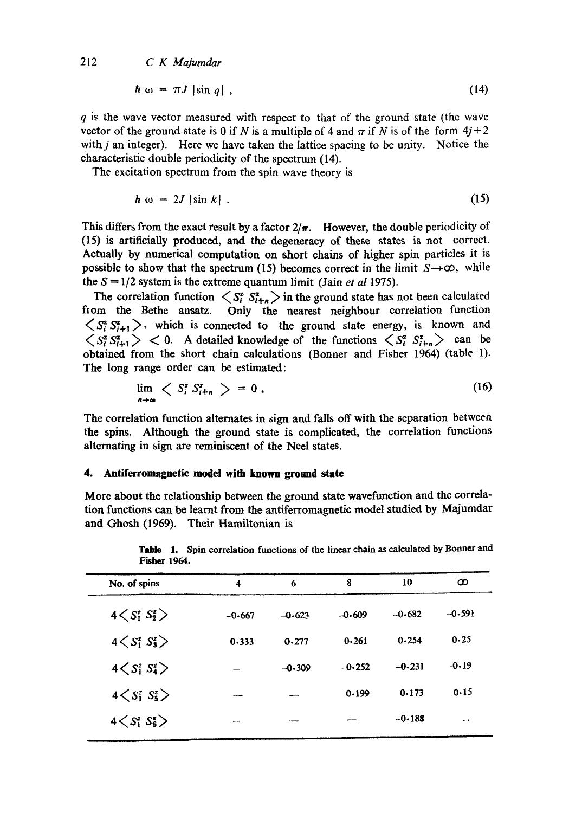*212 C K Majumdar* 

$$
\hbar \omega = \pi J \left| \sin q \right| , \tag{14}
$$

 $q$  is the wave vector measured with respect to that of the ground state (the wave vector of the ground state is 0 if N is a multiple of 4 and  $\pi$  if N is of the form  $4j+2$ with  $i$  an integer). Here we have taken the lattice spacing to be unity. Notice the characteristic double periodicity of the spectrum (14).

The excitation spectrum from the spin wave theory is

$$
\hbar \omega = 2J |\sin k| \tag{15}
$$

This differs from the exact result by a factor  $2/\pi$ . However, the double periodicity of (15) is artificially produced, and the degeneracy of these states is not correct. Actually by numerical computation on short chains of higher spin particles it i8 possible to show that the spectrum (15) becomes correct in the limit  $S \rightarrow \infty$ , while the  $S = 1/2$  system is the extreme quantum limit (Jain *et al* 1975).

The correlation function  $\langle S_i^z S_{i+n}^z \rangle$  in the ground state has not been calculated tom the Bethe ansatz. Only the nearest neighbour correlation function  $\langle S_i^z S_{i+1}^z \rangle$ , which is connected to the ground state energy, is known and  $\langle S_i^z S_{i+1}^z \rangle$  < 0. A detailed knowledge of the functions  $\langle S_i^z S_{i+n}^z \rangle$  can be obtained from the short chain calculations (Bonner and Fisher 1964) (table 1). The long range order can be estimated:

$$
\lim_{n\to\infty} \left\langle S_i^z S_{i+n}^z \right\rangle = 0 \,, \tag{16}
$$

The correlation function alternates in sign and falls off with the separation between **the** spins. Although the ground state is complicated, the correlation functions alternating in sign are reminiscent of the Neel states.

#### **4. Antiferromagnetic model with known ground state**

More about the relationship between the ground state wavefunction and the correlation functions can be learnt from the antiferromagnetic model studied by Majumdar and Ghosh (1969). Their Hamiltonian is

| $1$ ration $1$ $7$ $0$ $1$     |          |          |          |          |                      |
|--------------------------------|----------|----------|----------|----------|----------------------|
| No. of spins                   | 4        | 6        | 8        | 10       | ထ                    |
| $4\langle S_1^z S_2^z \rangle$ | $-0.667$ | $-0.623$ | $-0.609$ | $-0.682$ | $-0.591$             |
| $4 < S_1^z S_3^z$              | 0.333    | 0.277    | 0.261    | 0.254    | 0.25                 |
| $4 < S_1^z S_4^z$              |          | $-0.309$ | $-0.252$ | $-0.231$ | $-0.19$              |
| $4\langle S_1^z S_5^z \rangle$ |          |          | 0.199    | 0.173    | 0.15                 |
| $4\langle S_1^z S_6^z \rangle$ |          |          |          | $-0.188$ | $\ddot{\phantom{1}}$ |
|                                |          |          |          |          |                      |

|                     | Table 1. Spin correlation functions of the linear chain as calculated by Bonner and |
|---------------------|-------------------------------------------------------------------------------------|
| <b>Fisher 1964.</b> |                                                                                     |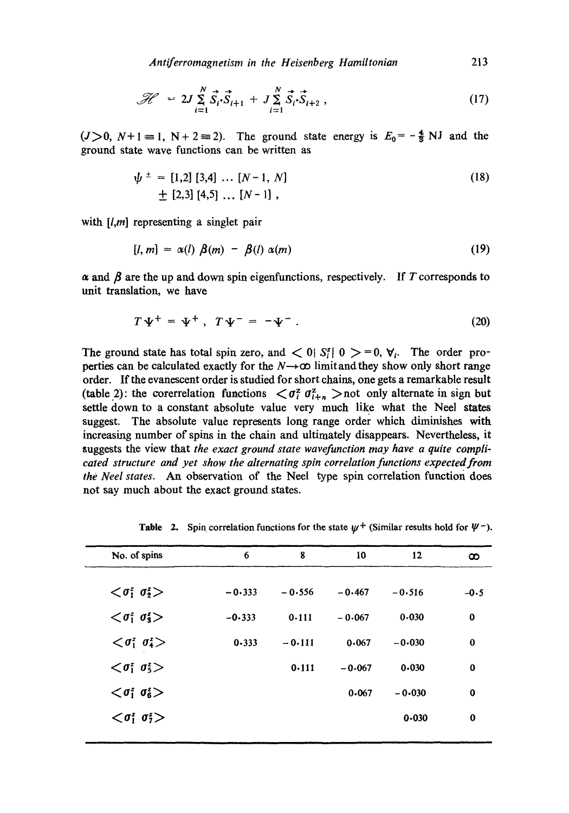Antiferromagnetism in the Heisenberg Hamiltonian **213** 

$$
\mathcal{H} \sim 2J \sum_{i=1}^{N} \vec{S}_{i} \cdot \vec{S}_{i+1} + J \sum_{i=1}^{N} \vec{S}_{i} \cdot \vec{S}_{i+2} , \qquad (17)
$$

 $(J>0, N+1=1, N+2=2)$ . The ground state energy is  $E_0 = -\frac{4}{3} NJ$  and the ground state wave functions can be written as

$$
\psi^{\pm} = [1,2] [3,4] \dots [N-1, N] \n\pm [2,3] [4,5] \dots [N-1],
$$
\n(18)

with  $[l,m]$  representing a singlet pair

$$
[l, m] = \alpha(l) \beta(m) - \beta(l) \alpha(m) \qquad (19)
$$

 $\alpha$  and  $\beta$  are the up and down spin eigenfunctions, respectively. If T corresponds to unit translation, we have

$$
T\Psi^+ = \Psi^+ , T\Psi^- = -\Psi^- . \qquad (20)
$$

The ground state has total spin zero, and  $< 0$   $S_i^z$  |  $0 > = 0$ ,  $\forall_i$ . The order properties can be calculated exactly for the  $N\rightarrow\infty$  limit and they show only short range order. If the evanescent order is studied for short chains, one gets a remarkable result (table 2): the corerrelation functions  $\langle \sigma_i^z \sigma_{i+n}^z \rangle$  not only alternate in sign but settle down to a constant absolute value very much like what the Neel states suggest. The absolute value represents long range order which diminishes with increasing number of spins in the chain and ultimately disappears. Nevertheless, it suggests the view that *the exact ground state wavefunction may have a quite complicated structure and yet show the alternating spin correlation functions expected from the Neel states.* An observation of the Neel type spin correlation function does not say much about the exact ground states.

| No. of spins                               | 6         | 8        | 10       | 12        | œ        |
|--------------------------------------------|-----------|----------|----------|-----------|----------|
| $\langle \sigma_1^z \sigma_2^z \rangle$    | $-0.333$  | $-0.556$ | $-0.467$ | $-0.516$  | $-0.5$   |
| $\langle \sigma_1^z \sigma_3^z \rangle$    | $-0.333$  | 0.111    | $-0.067$ | 0.030     | 0        |
| $\langle \sigma_1^z \; \sigma_4^z \rangle$ | $0 - 333$ | $-0.111$ | 0.067    | $-0.030$  | $\bf{0}$ |
| $\langle \sigma_1^z \sigma_5^z \rangle$    |           | 0.111    | $-0.067$ | $0 - 030$ | $\bf{0}$ |
| $\langle \sigma_1^z \sigma_6^z \rangle$    |           |          | 0.067    | $-0.030$  | $\bf{0}$ |
| $\langle \sigma_1^z \; \sigma_2^z \rangle$ |           |          |          | $0 - 030$ | $\bf{0}$ |
|                                            |           |          |          |           |          |

**Table 2.** Spin correlation functions for the state  $\psi^+$  (Similar results hold for  $\psi^-$ ).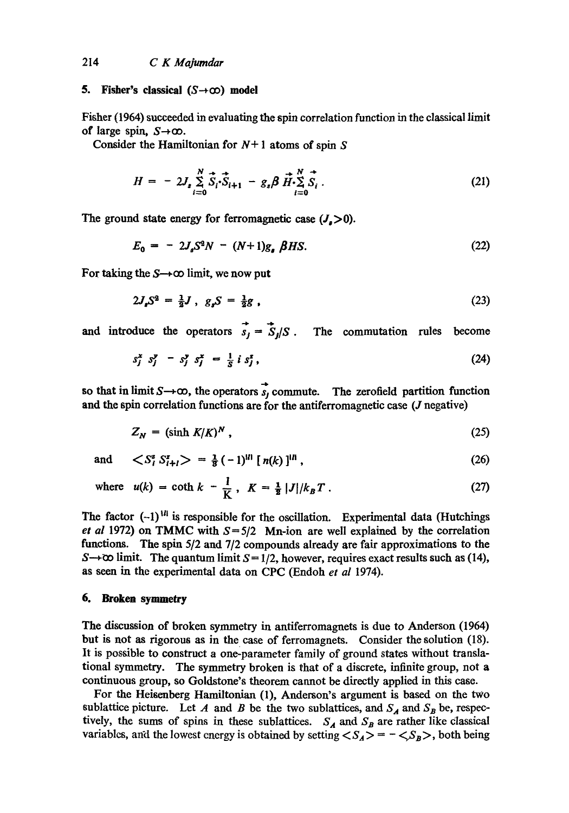## *214 C K Majumdar*

#### **5. Fisher's classical**  $(S \rightarrow \infty)$  **model**

Fisher (1964) succeeded in evaluating the spin correlation function in the classical limit of large spin,  $S\rightarrow\infty$ .

Consider the Hamiltonian for  $N+1$  atoms of spin S

$$
H = -2J_s \sum_{i=0}^{N} \vec{S}_i \cdot \vec{S}_{i+1} - g_s \beta \vec{H} \cdot \sum_{i=0}^{N} \vec{S}_i.
$$
 (21)

The ground state energy for ferromagnetic case  $(J_{s}>0)$ .

$$
E_0 = -2J_s S^2 N - (N+1)g_s \beta H S. \tag{22}
$$

For taking the  $S\rightarrow\infty$  limit, we now put

$$
2J_{\rho}S^2 = \frac{1}{2}J, \ g_{\rho}S = \frac{1}{2}g \tag{23}
$$

and introduce the operators  $\vec{s}_i = \vec{S}_i/S$ . The commutation rules become

$$
s_j^x \ s_j^y - s_j^y \ s_j^x = \frac{1}{s} \ i \ s_j^x \,, \tag{24}
$$

so that in limit  $S \rightarrow \infty$ , the operators  $\overrightarrow{s}_j$  commute. The zerofield partition function **and** the spin correlation functions are for the antiferromagnetie case (J negative)

$$
Z_N = (\sinh K/K)^N, \qquad (25)
$$

and  $\langle S_i^z S_{i+1}^z \rangle = \frac{1}{2} (-1)^{|l|} [n(k)]^{|l|}$ , (26)

where 
$$
u(k) = \coth k - \frac{1}{K}
$$
,  $K = \frac{1}{2} |J|/k_B T$ . (27)

The factor  $(-1)^{1/l}$  is responsible for the oscillation. Experimental data (Hutchings *et al* 1972) on TMMC with  $S = \frac{5}{2}$  Mn-ion are well explained by the correlation functions. The spin 5/2 and 7/2 compounds already are fair approximations to the S $\rightarrow \infty$  limit. The quantum limit S = 1/2, however, requires exact results such as (14), as seen in the experimental data on CPC (Endoh *et al* 1974).

### **6. Broken symmetry**

The discussion of broken symmetry in antiferromagnets is due to Anderson (1964) but is not as rigorous as in the case of ferromagnets. Consider the solution (18). It is possible to construct a one-parameter family of ground states without translational symmetry. The symmetry broken is that of a discrete, infinite group, not a continuous group, so Goldstone's theorem cannot be directly applied in this case.

For the Heisenberg Hamiltonian (l), Anderson's argument is based on the two sublattice picture. Let A and B be the two sublattices, and  $S_A$  and  $S_B$  be, respectively, the sums of spins in these sublattices.  $S_A$  and  $S_B$  are rather like classical variables, and the lowest energy is obtained by setting  $\langle S_A \rangle = -\langle S_B \rangle$ , both being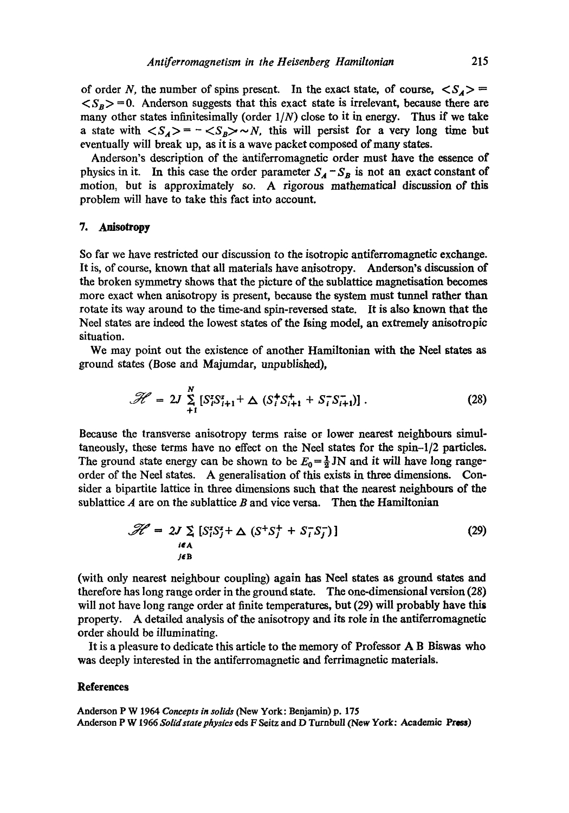of order N, the number of spins present. In the exact state, of course,  $\langle S_A \rangle$  =  $\langle S_B \rangle = 0$ . Anderson suggests that this exact state is irrelevant, because there are many other states infinitesimally (order  $1/N$ ) close to it in energy. Thus if we take a state with  $\langle S_A \rangle = -\langle S_B \rangle \sim N$ , this will persist for a very long time but eventually will break up, as it is a wave packet composed of many states.

Anderson's description of the antiferromagnetie order must have the essence of physics in it. In this case the order parameter  $S_A - S_B$  is not an exact constant of motion, but is approximately so. A rigorous mathematical discussion of this problem will have to take this fact into account.

#### 7. Anisotropy

So far we have restricted our discussion to the isotropic antiforromagnetie exchange. It is, of course, known that all materials have anisotropy. Anderson's discussion of the broken symmetry shows that the picture of the sublattice magnetisation becomes more exact when anisotropy is present, because the system must tunnel rather than rotate its way around to the time-and spin-reversed state. It is also known that the Neel states are indeed the lowest states of the Ising model, an extremely anisotropie situation.

We may point out the existence of another Hamiltonian with the Neel states as ground states (Bose and Majumdar, unpublished),

$$
\mathcal{H} = 2J \sum_{+1}^{N} \left[ S_i^z S_{i+1}^z + \Delta \left( S_i^+ S_{i+1}^+ + S_i^- S_{i+1}^- \right) \right]. \tag{28}
$$

Because the transverse anisotropy terms raise or lower nearest neighbours simultaneously, these terms have no effect on the Neel states for the spin-l/2 particles. The ground state energy can be shown to be  $E_0 = \frac{1}{2}$  JN and it will have long rangeorder of the Neel states. A generalisation of this exists in three dimensions. Consider a bipartite lattice in three dimensions such that the nearest neighbours of the sublattice  $A$  are on the sublattice  $B$  and vice versa. Then the Hamiltonian

$$
\mathcal{H} = 2J \sum_{\substack{i \in A \\ j \in B}} [S_i^z S_j^z + \Delta (S^+ S_j^+ + S_i^- S_j^-)] \tag{29}
$$

(with only nearest neighbour coupling) again has Neel states as ground states and therefore has long range order in the ground state. The one-dimensional version *(28)*  will not have long range order at finite temperatures, but (29) will probably have this property. A detailed analysis of the anisotropy and its role in the antiferromagnetic order should be illuminating.

It is a pleasure to dedicate this article to the memory of Professor A B Biswas who was deeply interested in the antiferromagnetic and ferrimagnetic materials.

#### **References**

Anderson P W 1964 *Concepts in solids* (New York: Benjamin) p. 175 Anderson P W 1966 *Solidstate physics* eds F Seitz and D Turnbull (New York: Academic Press)